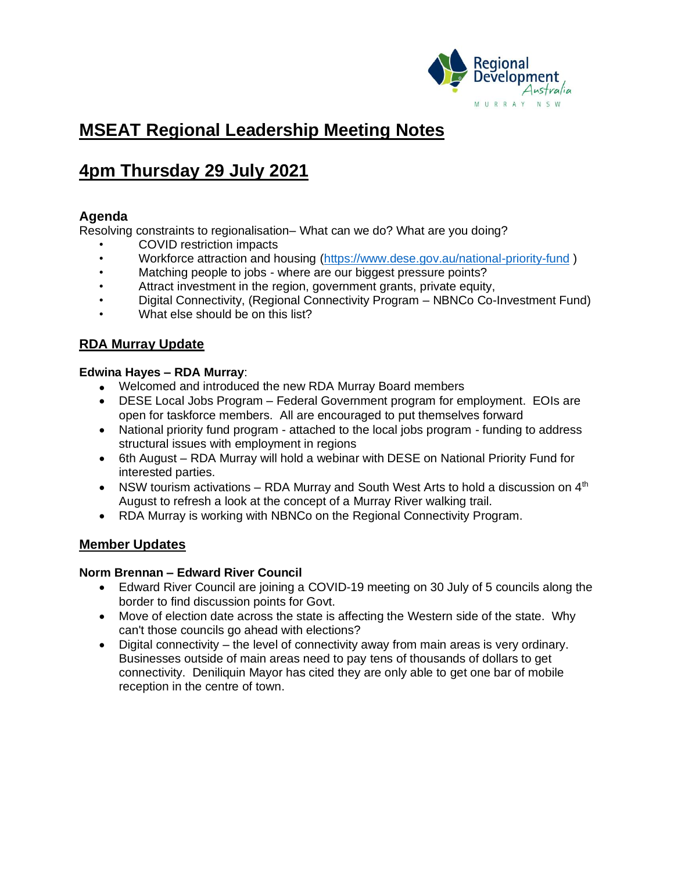

# **MSEAT Regional Leadership Meeting Notes**

# **4pm Thursday 29 July 2021**

# **Agenda**

Resolving constraints to regionalisation– What can we do? What are you doing?

- COVID restriction impacts
- Workforce attraction and housing [\(https://www.dese.gov.au/national-priority-fund](https://www.dese.gov.au/national-priority-fund) )
- Matching people to jobs where are our biggest pressure points?
- Attract investment in the region, government grants, private equity,
- Digital Connectivity, (Regional Connectivity Program NBNCo Co-Investment Fund)
- What else should be on this list?

# **RDA Murray Update**

## **Edwina Hayes – RDA Murray**:

- Welcomed and introduced the new RDA Murray Board members
- DESE Local Jobs Program Federal Government program for employment. EOIs are open for taskforce members. All are encouraged to put themselves forward
- National priority fund program attached to the local jobs program funding to address structural issues with employment in regions
- 6th August RDA Murray will hold a webinar with DESE on National Priority Fund for interested parties.
- NSW tourism activations RDA Murray and South West Arts to hold a discussion on  $4<sup>th</sup>$ August to refresh a look at the concept of a Murray River walking trail.
- RDA Murray is working with NBNCo on the Regional Connectivity Program.

## **Member Updates**

## **Norm Brennan – Edward River Council**

- Edward River Council are joining a COVID-19 meeting on 30 July of 5 councils along the border to find discussion points for Govt.
- Move of election date across the state is affecting the Western side of the state. Why can't those councils go ahead with elections?
- Digital connectivity the level of connectivity away from main areas is very ordinary. Businesses outside of main areas need to pay tens of thousands of dollars to get connectivity. Deniliquin Mayor has cited they are only able to get one bar of mobile reception in the centre of town.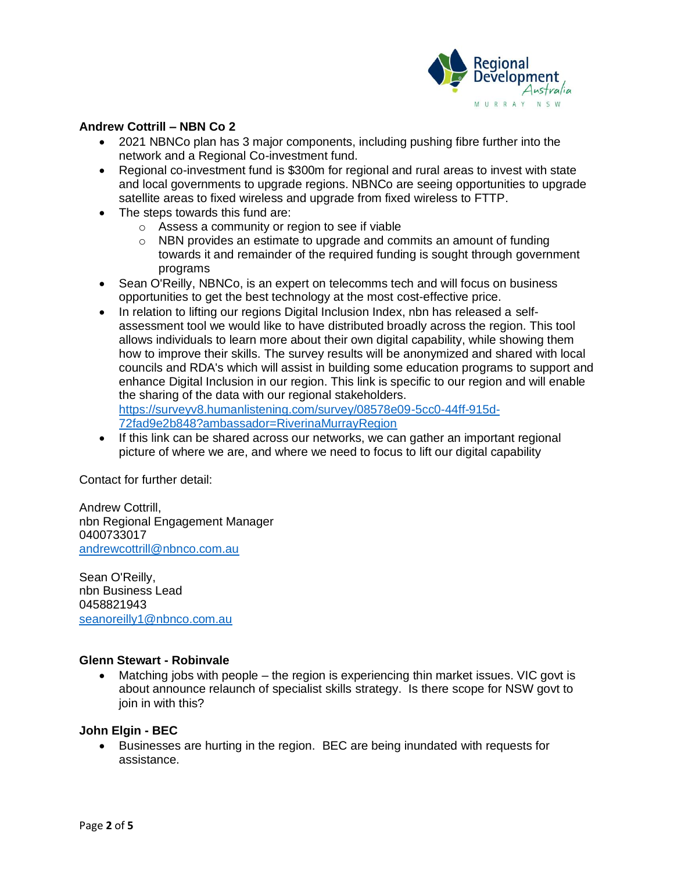

## **Andrew Cottrill – NBN Co 2**

- 2021 NBNCo plan has 3 major components, including pushing fibre further into the network and a Regional Co-investment fund.
- Regional co-investment fund is \$300m for regional and rural areas to invest with state and local governments to upgrade regions. NBNCo are seeing opportunities to upgrade satellite areas to fixed wireless and upgrade from fixed wireless to FTTP.
- The steps towards this fund are:
	- o Assess a community or region to see if viable
	- o NBN provides an estimate to upgrade and commits an amount of funding towards it and remainder of the required funding is sought through government programs
- Sean O'Reilly, NBNCo, is an expert on telecomms tech and will focus on business opportunities to get the best technology at the most cost-effective price.
- In relation to lifting our regions Digital Inclusion Index, nbn has released a selfassessment tool we would like to have distributed broadly across the region. This tool allows individuals to learn more about their own digital capability, while showing them how to improve their skills. The survey results will be anonymized and shared with local councils and RDA's which will assist in building some education programs to support and enhance Digital Inclusion in our region. This link is specific to our region and will enable the sharing of the data with our regional stakeholders.

[https://surveyv8.humanlistening.com/survey/08578e09-5cc0-44ff-915d-](https://surveyv8.humanlistening.com/survey/08578e09-5cc0-44ff-915d-72fad9e2b848?ambassador=RiverinaMurrayRegion)[72fad9e2b848?ambassador=RiverinaMurrayRegion](https://surveyv8.humanlistening.com/survey/08578e09-5cc0-44ff-915d-72fad9e2b848?ambassador=RiverinaMurrayRegion)

• If this link can be shared across our networks, we can gather an important regional picture of where we are, and where we need to focus to lift our digital capability

Contact for further detail:

Andrew Cottrill, nbn Regional Engagement Manager 0400733017 [andrewcottrill@nbnco.com.au](mailto:andrewcottrill@nbnco.com.au)

Sean O'Reilly, nbn Business Lead 0458821943 [seanoreilly1@nbnco.com.au](mailto:seanoreilly1@nbnco.com.au)

#### **Glenn Stewart - Robinvale**

• Matching jobs with people – the region is experiencing thin market issues. VIC govt is about announce relaunch of specialist skills strategy. Is there scope for NSW govt to join in with this?

#### **John Elgin - BEC**

• Businesses are hurting in the region. BEC are being inundated with requests for assistance.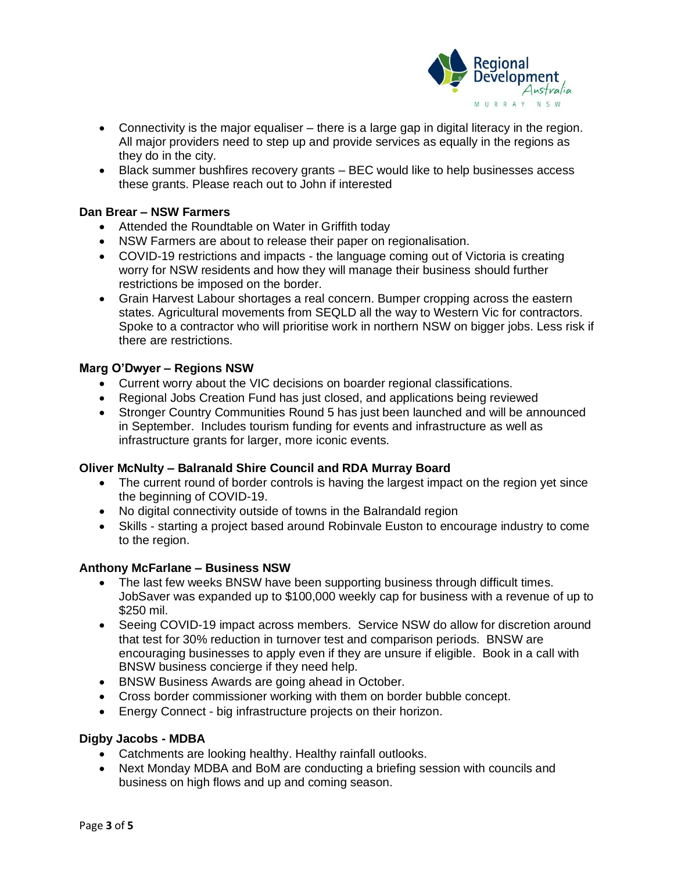

- Connectivity is the major equaliser there is a large gap in digital literacy in the region. All major providers need to step up and provide services as equally in the regions as they do in the city.
- Black summer bushfires recovery grants BEC would like to help businesses access these grants. Please reach out to John if interested

#### **Dan Brear – NSW Farmers**

- Attended the Roundtable on Water in Griffith today
- NSW Farmers are about to release their paper on regionalisation.
- COVID-19 restrictions and impacts the language coming out of Victoria is creating worry for NSW residents and how they will manage their business should further restrictions be imposed on the border.
- Grain Harvest Labour shortages a real concern. Bumper cropping across the eastern states. Agricultural movements from SEQLD all the way to Western Vic for contractors. Spoke to a contractor who will prioritise work in northern NSW on bigger jobs. Less risk if there are restrictions.

#### **Marg O'Dwyer – Regions NSW**

- Current worry about the VIC decisions on boarder regional classifications.
- Regional Jobs Creation Fund has just closed, and applications being reviewed
- Stronger Country Communities Round 5 has just been launched and will be announced in September. Includes tourism funding for events and infrastructure as well as infrastructure grants for larger, more iconic events.

#### **Oliver McNulty – Balranald Shire Council and RDA Murray Board**

- The current round of border controls is having the largest impact on the region yet since the beginning of COVID-19.
- No digital connectivity outside of towns in the Balrandald region
- Skills starting a project based around Robinvale Euston to encourage industry to come to the region.

#### **Anthony McFarlane – Business NSW**

- The last few weeks BNSW have been supporting business through difficult times. JobSaver was expanded up to \$100,000 weekly cap for business with a revenue of up to \$250 mil.
- Seeing COVID-19 impact across members. Service NSW do allow for discretion around that test for 30% reduction in turnover test and comparison periods. BNSW are encouraging businesses to apply even if they are unsure if eligible. Book in a call with BNSW business concierge if they need help.
- BNSW Business Awards are going ahead in October.
- Cross border commissioner working with them on border bubble concept.
- Energy Connect big infrastructure projects on their horizon.

#### **Digby Jacobs - MDBA**

- Catchments are looking healthy. Healthy rainfall outlooks.
- Next Monday MDBA and BoM are conducting a briefing session with councils and business on high flows and up and coming season.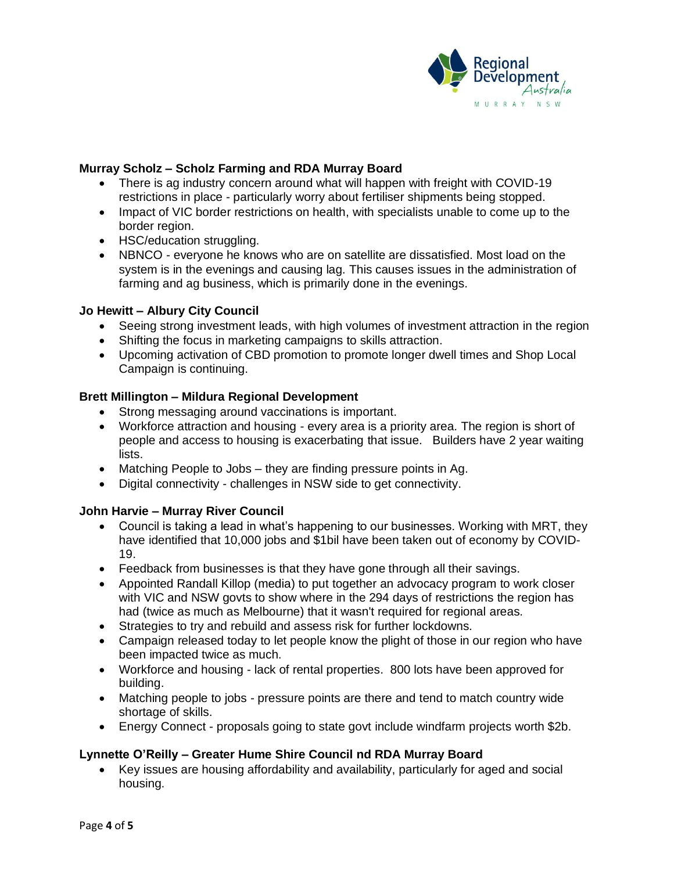

### **Murray Scholz – Scholz Farming and RDA Murray Board**

- There is ag industry concern around what will happen with freight with COVID-19 restrictions in place - particularly worry about fertiliser shipments being stopped.
- Impact of VIC border restrictions on health, with specialists unable to come up to the border region.
- HSC/education struggling.
- NBNCO everyone he knows who are on satellite are dissatisfied. Most load on the system is in the evenings and causing lag. This causes issues in the administration of farming and ag business, which is primarily done in the evenings.

#### **Jo Hewitt – Albury City Council**

- Seeing strong investment leads, with high volumes of investment attraction in the region
- Shifting the focus in marketing campaigns to skills attraction.
- Upcoming activation of CBD promotion to promote longer dwell times and Shop Local Campaign is continuing.

#### **Brett Millington – Mildura Regional Development**

- Strong messaging around vaccinations is important.
- Workforce attraction and housing every area is a priority area. The region is short of people and access to housing is exacerbating that issue. Builders have 2 year waiting lists.
- Matching People to Jobs they are finding pressure points in Ag.
- Digital connectivity challenges in NSW side to get connectivity.

## **John Harvie – Murray River Council**

- Council is taking a lead in what's happening to our businesses. Working with MRT, they have identified that 10,000 jobs and \$1bil have been taken out of economy by COVID-19.
- Feedback from businesses is that they have gone through all their savings.
- Appointed Randall Killop (media) to put together an advocacy program to work closer with VIC and NSW govts to show where in the 294 days of restrictions the region has had (twice as much as Melbourne) that it wasn't required for regional areas.
- Strategies to try and rebuild and assess risk for further lockdowns.
- Campaign released today to let people know the plight of those in our region who have been impacted twice as much.
- Workforce and housing lack of rental properties. 800 lots have been approved for building.
- Matching people to jobs pressure points are there and tend to match country wide shortage of skills.
- Energy Connect proposals going to state govt include windfarm projects worth \$2b.

## **Lynnette O'Reilly – Greater Hume Shire Council nd RDA Murray Board**

• Key issues are housing affordability and availability, particularly for aged and social housing.